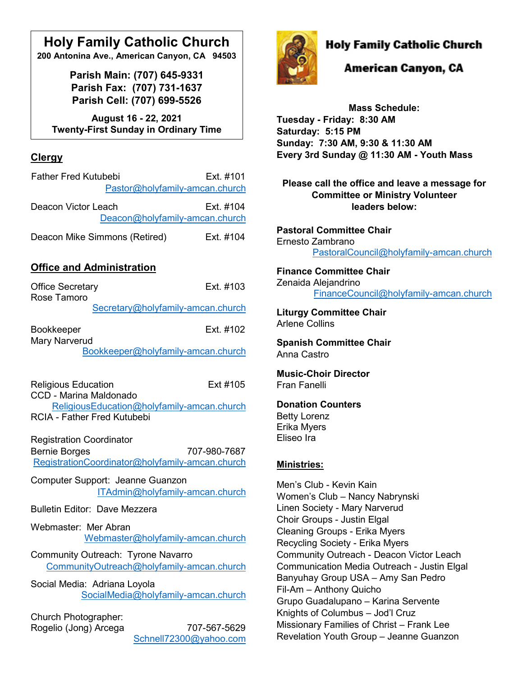# **Holy Family Catholic Church**

**200 Antonina Ave., American Canyon, CA 94503**

**Parish Main: (707) 645-9331 Parish Fax: (707) 731-1637 Parish Cell: (707) 699-5526**

**August 16 - 22, 2021 Twenty-First Sunday in Ordinary Time**

# **Clergy**

| <b>Father Fred Kutubebi</b><br>Pastor@holyfamily-amcan.church | Ext. #101 |
|---------------------------------------------------------------|-----------|
| Deacon Victor Leach<br>Deacon@holyfamily-amcan.church         | Ext. #104 |
| Deacon Mike Simmons (Retired)                                 | Ext. #104 |

## **Office and Administration**

| <b>Office Secretary</b><br>Rose Tamoro                  | Fxt #103                                                        |
|---------------------------------------------------------|-----------------------------------------------------------------|
|                                                         | Secretary@holyfamily-amcan.church                               |
| <b>Bookkeeper</b><br><b>Mary Narverud</b>               | Fxt #102                                                        |
|                                                         | Bookkeeper@holyfamily-amcan.church                              |
| <b>Religious Education</b><br>CCD - Marina Maldonado    | Ext #105                                                        |
| <b>RCIA - Father Fred Kutubebi</b>                      | ReligiousEducation@holyfamily-amcan.church                      |
| <b>Registration Coordinator</b><br><b>Bernie Borges</b> | 707-980-7687<br>RegistrationCoordinator@holyfamily-amcan.church |
| Computer Support: Jeanne Guanzon                        | ITAdmin@holyfamily-amcan.church                                 |
| <b>Bulletin Editor: Dave Mezzera</b>                    |                                                                 |
| Webmaster: Mer Abran                                    | Webmaster@holyfamily-amcan.church                               |
| Community Outreach: Tyrone Navarro                      | CommunityOutreach@holyfamily-amcan.church                       |
| Social Media: Adriana Loyola                            | SocialMedia@holyfamily-amcan.church                             |
| Church Photographer:<br>Rogelio (Jong) Arcega           | 707-567-5629<br>Schnell72300@yahoo.com                          |



# **Holy Family Catholic Church**

# American Canyon, CA

**Mass Schedule: Tuesday - Friday: 8:30 AM Saturday: 5:15 PM Sunday: 7:30 AM, 9:30 & 11:30 AM Every 3rd Sunday @ 11:30 AM - Youth Mass**

**Please call the office and leave a message for Committee or Ministry Volunteer leaders below:**

**Pastoral Committee Chair** Ernesto Zambrano [PastoralCouncil@holyfamily-amcan.church](mailto:PastoralCouncil@holyfamily-amcan.church)

### **Finance Committee Chair** Zenaida Alejandrino [FinanceCouncil@holyfamily-amcan.church](mailto:FinanceCouncil@holyfamily-amcan.church)

**Liturgy Committee Chair**  Arlene Collins

**Spanish Committee Chair** Anna Castro

**Music-Choir Director** Fran Fanelli

## **Donation Counters**

Betty Lorenz Erika Myers Eliseo Ira

## **Ministries:**

Men's Club - Kevin Kain Women's Club – Nancy Nabrynski Linen Society - Mary Narverud Choir Groups - Justin Elgal Cleaning Groups - Erika Myers Recycling Society - Erika Myers Community Outreach - Deacon Victor Leach Communication Media Outreach - Justin Elgal Banyuhay Group USA – Amy San Pedro Fil-Am – Anthony Quicho Grupo Guadalupano – Karina Servente Knights of Columbus – Jod'l Cruz Missionary Families of Christ – Frank Lee Revelation Youth Group – Jeanne Guanzon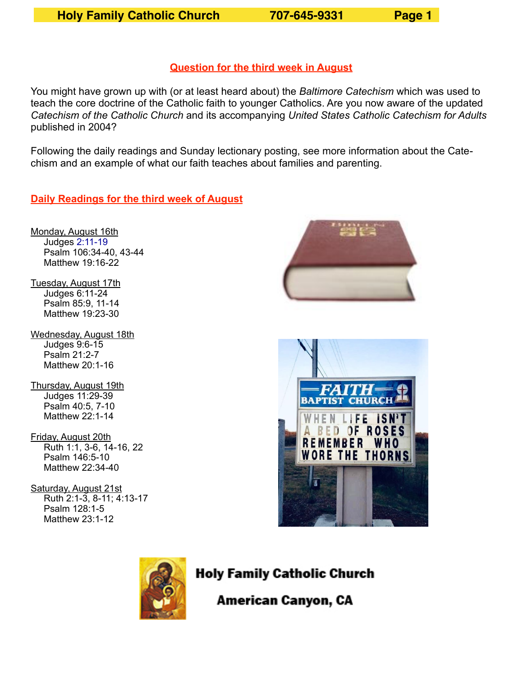## **Question for the third week in August**

You might have grown up with (or at least heard about) the *Baltimore Catechism* which was used to teach the core doctrine of the Catholic faith to younger Catholics. Are you now aware of the updated *Catechism of the Catholic Church* and its accompanying *United States Catholic Catechism for Adults* published in 2004?

Following the daily readings and Sunday lectionary posting, see more information about the Catechism and an example of what our faith teaches about families and parenting.

**Daily Readings for the third week of August**

- Monday, August 16th Judges [2:11-19](https://bible.usccb.org/bible/judges/2?11) Psalm 106:34-40, 43-44 Matthew 19:16-22
- Tuesday, August 17th Judges 6:11-24 Psalm 85:9, 11-14 Matthew 19:23-30
- Wednesday, August 18th Judges 9:6-15 Psalm 21:2-7 Matthew 20:1-16
- Thursday, August 19th Judges 11:29-39 Psalm 40:5, 7-10 Matthew 22:1-14
- Friday, August 20th Ruth 1:1, 3-6, 14-16, 22 Psalm 146:5-10 Matthew 22:34-40
- Saturday, August 21st Ruth 2:1-3, 8-11; 4:13-17 Psalm 128:1-5 Matthew 23:1-12







**Holy Family Catholic Church** 

American Canyon, CA